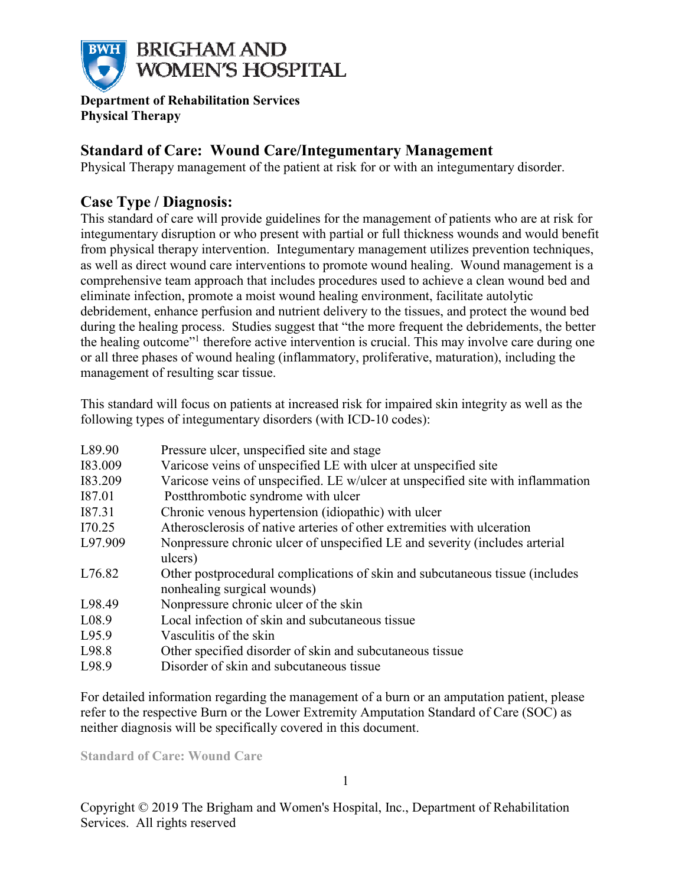

**Department of Rehabilitation Services Physical Therapy** 

## **Standard of Care: Wound Care/Integumentary Management**

Physical Therapy management of the patient at risk for or with an integumentary disorder.

## **Case Type / Diagnosis:**

This standard of care will provide guidelines for the management of patients who are at risk for integumentary disruption or who present with partial or full thickness wounds and would benefit from physical therapy intervention. Integumentary management utilizes prevention techniques, as well as direct wound care interventions to promote wound healing. Wound management is a comprehensive team approach that includes procedures used to achieve a clean wound bed and eliminate infection, promote a moist wound healing environment, facilitate autolytic debridement, enhance perfusion and nutrient delivery to the tissues, and protect the wound bed during the healing process. Studies suggest that "the more frequent the debridements, the better the healing outcome"<sup>1</sup> therefore active intervention is crucial. This may involve care during one or all three phases of wound healing (inflammatory, proliferative, maturation), including the management of resulting scar tissue.

This standard will focus on patients at increased risk for impaired skin integrity as well as the following types of integumentary disorders (with ICD-10 codes):

| L89.90  | Pressure ulcer, unspecified site and stage                                                                  |
|---------|-------------------------------------------------------------------------------------------------------------|
| 183.009 | Varicose veins of unspecified LE with ulcer at unspecified site                                             |
| 183.209 | Varicose veins of unspecified. LE w/ulcer at unspecified site with inflammation                             |
| I87.01  | Postthrombotic syndrome with ulcer                                                                          |
| I87.31  | Chronic venous hypertension (idiopathic) with ulcer                                                         |
| I70.25  | Atherosclerosis of native arteries of other extremities with ulceration                                     |
| L97.909 | Nonpressure chronic ulcer of unspecified LE and severity (includes arterial<br>ulcers)                      |
| L76.82  | Other postprocedural complications of skin and subcutaneous tissue (includes<br>nonhealing surgical wounds) |
| L98.49  | Nonpressure chronic ulcer of the skin                                                                       |
| L08.9   | Local infection of skin and subcutaneous tissue                                                             |
| L95.9   | Vasculitis of the skin                                                                                      |
| L98.8   | Other specified disorder of skin and subcutaneous tissue                                                    |
| L98.9   | Disorder of skin and subcutaneous tissue                                                                    |

For detailed information regarding the management of a burn or an amputation patient, please refer to the respective Burn or the Lower Extremity Amputation Standard of Care (SOC) as neither diagnosis will be specifically covered in this document.

**Standard of Care: Wound Care**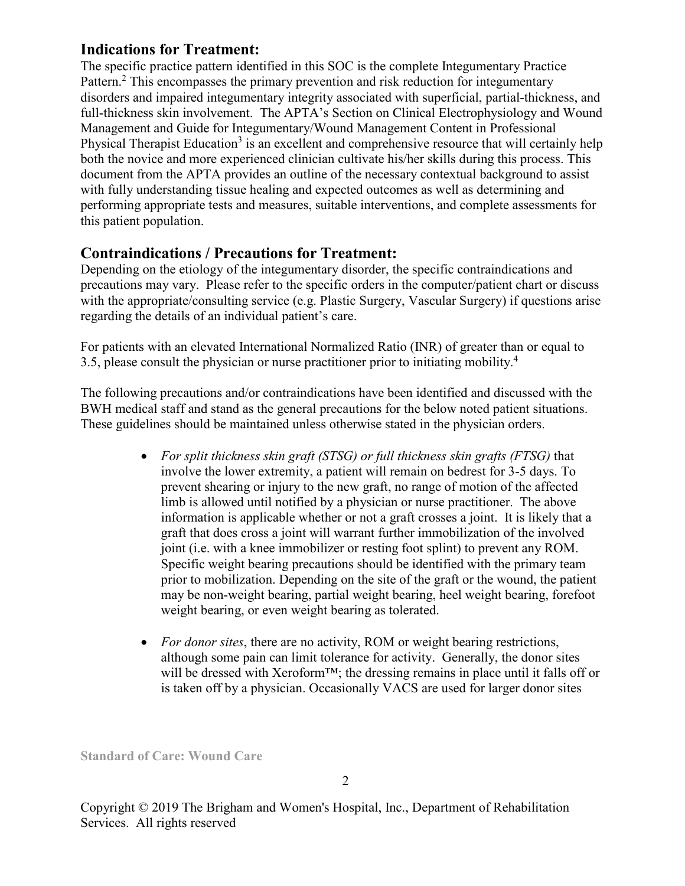## **Indications for Treatment:**

The specific practice pattern identified in this SOC is the complete Integumentary Practice Pattern.<sup>2</sup> This encompasses the primary prevention and risk reduction for integumentary disorders and impaired integumentary integrity associated with superficial, partial-thickness, and full-thickness skin involvement. The APTA's Section on Clinical Electrophysiology and Wound Management and Guide for Integumentary/Wound Management Content in Professional Physical Therapist Education<sup>3</sup> is an excellent and comprehensive resource that will certainly help both the novice and more experienced clinician cultivate his/her skills during this process. This document from the APTA provides an outline of the necessary contextual background to assist with fully understanding tissue healing and expected outcomes as well as determining and performing appropriate tests and measures, suitable interventions, and complete assessments for this patient population.

### **Contraindications / Precautions for Treatment:**

Depending on the etiology of the integumentary disorder, the specific contraindications and precautions may vary. Please refer to the specific orders in the computer/patient chart or discuss with the appropriate/consulting service (e.g. Plastic Surgery, Vascular Surgery) if questions arise regarding the details of an individual patient's care.

For patients with an elevated International Normalized Ratio (INR) of greater than or equal to 3.5, please consult the physician or nurse practitioner prior to initiating mobility.<sup>4</sup>

The following precautions and/or contraindications have been identified and discussed with the BWH medical staff and stand as the general precautions for the below noted patient situations. These guidelines should be maintained unless otherwise stated in the physician orders.

- *For split thickness skin graft (STSG) or full thickness skin grafts (FTSG)* that involve the lower extremity, a patient will remain on bedrest for 3-5 days. To prevent shearing or injury to the new graft, no range of motion of the affected limb is allowed until notified by a physician or nurse practitioner. The above information is applicable whether or not a graft crosses a joint. It is likely that a graft that does cross a joint will warrant further immobilization of the involved joint (i.e. with a knee immobilizer or resting foot splint) to prevent any ROM. Specific weight bearing precautions should be identified with the primary team prior to mobilization. Depending on the site of the graft or the wound, the patient may be non-weight bearing, partial weight bearing, heel weight bearing, forefoot weight bearing, or even weight bearing as tolerated.
- *For donor sites*, there are no activity, ROM or weight bearing restrictions, although some pain can limit tolerance for activity. Generally, the donor sites will be dressed with Xeroform™; the dressing remains in place until it falls off or is taken off by a physician. Occasionally VACS are used for larger donor sites

**Standard of Care: Wound Care**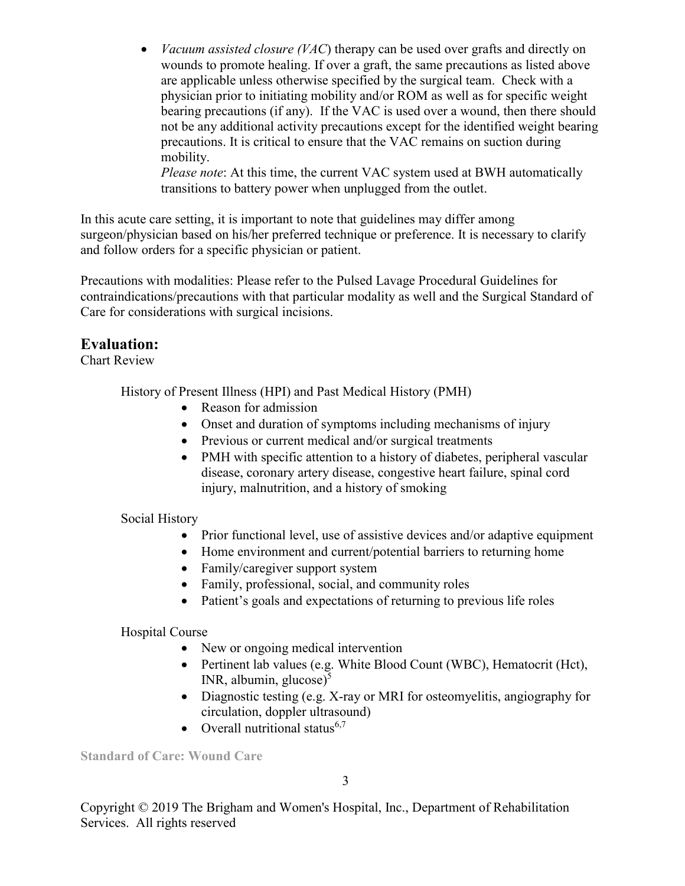• *Vacuum assisted closure (VAC*) therapy can be used over grafts and directly on wounds to promote healing. If over a graft, the same precautions as listed above are applicable unless otherwise specified by the surgical team. Check with a physician prior to initiating mobility and/or ROM as well as for specific weight bearing precautions (if any). If the VAC is used over a wound, then there should not be any additional activity precautions except for the identified weight bearing precautions. It is critical to ensure that the VAC remains on suction during mobility.

*Please note*: At this time, the current VAC system used at BWH automatically transitions to battery power when unplugged from the outlet.

In this acute care setting, it is important to note that guidelines may differ among surgeon/physician based on his/her preferred technique or preference. It is necessary to clarify and follow orders for a specific physician or patient.

Precautions with modalities: Please refer to the Pulsed Lavage Procedural Guidelines for contraindications/precautions with that particular modality as well and the Surgical Standard of Care for considerations with surgical incisions.

# **Evaluation:**

Chart Review

History of Present Illness (HPI) and Past Medical History (PMH)

- Reason for admission
- Onset and duration of symptoms including mechanisms of injury
- Previous or current medical and/or surgical treatments
- PMH with specific attention to a history of diabetes, peripheral vascular disease, coronary artery disease, congestive heart failure, spinal cord injury, malnutrition, and a history of smoking

Social History

- Prior functional level, use of assistive devices and/or adaptive equipment
- Home environment and current/potential barriers to returning home
- Family/caregiver support system
- Family, professional, social, and community roles
- Patient's goals and expectations of returning to previous life roles

Hospital Course

- New or ongoing medical intervention
- Pertinent lab values (e.g. White Blood Count (WBC), Hematocrit (Hct), INR, albumin, glucose $)^5$
- Diagnostic testing (e.g. X-ray or MRI for osteomyelitis, angiography for circulation, doppler ultrasound)
- Overall nutritional status $6,7$

**Standard of Care: Wound Care**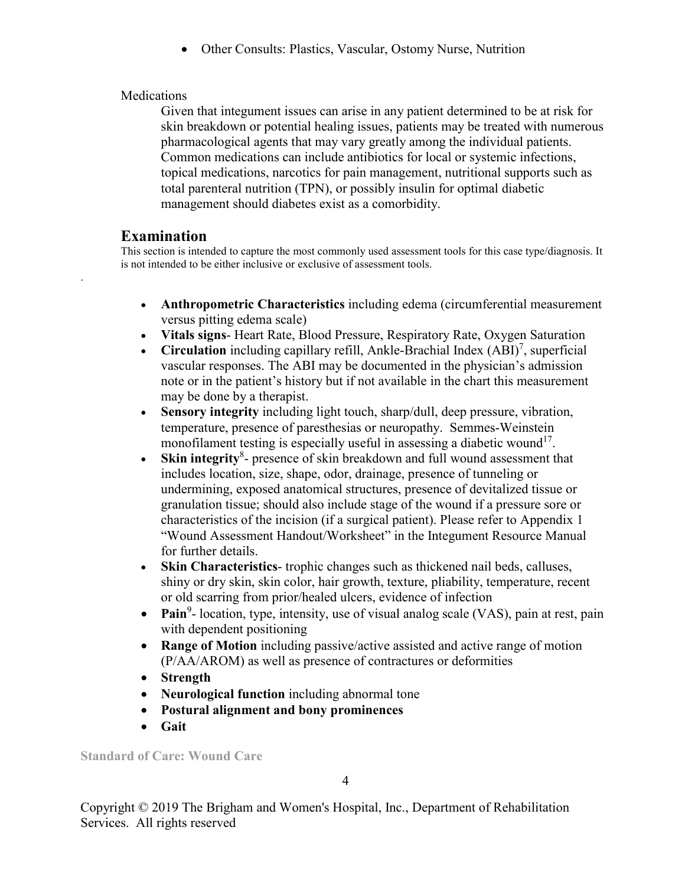• Other Consults: Plastics, Vascular, Ostomy Nurse, Nutrition

### Medications

Given that integument issues can arise in any patient determined to be at risk for skin breakdown or potential healing issues, patients may be treated with numerous pharmacological agents that may vary greatly among the individual patients. Common medications can include antibiotics for local or systemic infections, topical medications, narcotics for pain management, nutritional supports such as total parenteral nutrition (TPN), or possibly insulin for optimal diabetic management should diabetes exist as a comorbidity.

# **Examination**

.

This section is intended to capture the most commonly used assessment tools for this case type/diagnosis. It is not intended to be either inclusive or exclusive of assessment tools.

- **Anthropometric Characteristics** including edema (circumferential measurement versus pitting edema scale)
- **Vitals signs** Heart Rate, Blood Pressure, Respiratory Rate, Oxygen Saturation
- Circulation including capillary refill, Ankle-Brachial Index (ABI)<sup>7</sup>, superficial vascular responses. The ABI may be documented in the physician's admission note or in the patient's history but if not available in the chart this measurement may be done by a therapist.
- **Sensory integrity** including light touch, sharp/dull, deep pressure, vibration, temperature, presence of paresthesias or neuropathy. Semmes-Weinstein monofilament testing is especially useful in assessing a diabetic wound<sup>17</sup>.
- Skin integrity<sup>8</sup>- presence of skin breakdown and full wound assessment that includes location, size, shape, odor, drainage, presence of tunneling or undermining, exposed anatomical structures, presence of devitalized tissue or granulation tissue; should also include stage of the wound if a pressure sore or characteristics of the incision (if a surgical patient). Please refer to Appendix 1 "Wound Assessment Handout/Worksheet" in the Integument Resource Manual for further details.
- **Skin Characteristics** trophic changes such as thickened nail beds, calluses, shiny or dry skin, skin color, hair growth, texture, pliability, temperature, recent or old scarring from prior/healed ulcers, evidence of infection
- Pain<sup>9</sup>- location, type, intensity, use of visual analog scale (VAS), pain at rest, pain with dependent positioning
- **Range of Motion** including passive/active assisted and active range of motion (P/AA/AROM) as well as presence of contractures or deformities
- **Strength**
- **Neurological function** including abnormal tone
- **Postural alignment and bony prominences**
- **Gait**

**Standard of Care: Wound Care** 

4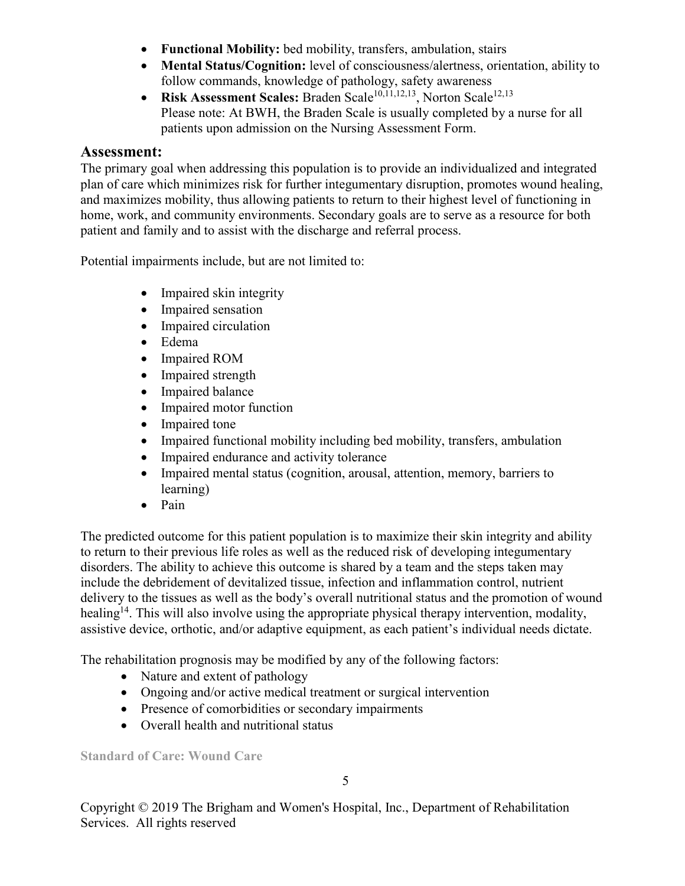- **Functional Mobility:** bed mobility, transfers, ambulation, stairs
- **Mental Status/Cognition:** level of consciousness/alertness, orientation, ability to follow commands, knowledge of pathology, safety awareness
- **Risk Assessment Scales:** Braden Scale<sup>10,11,12,13</sup>, Norton Scale<sup>12,13</sup> Please note: At BWH, the Braden Scale is usually completed by a nurse for all patients upon admission on the Nursing Assessment Form.

### **Assessment:**

The primary goal when addressing this population is to provide an individualized and integrated plan of care which minimizes risk for further integumentary disruption, promotes wound healing, and maximizes mobility, thus allowing patients to return to their highest level of functioning in home, work, and community environments. Secondary goals are to serve as a resource for both patient and family and to assist with the discharge and referral process.

Potential impairments include, but are not limited to:

- Impaired skin integrity
- Impaired sensation
- Impaired circulation
- Edema
- Impaired ROM
- Impaired strength
- Impaired balance
- Impaired motor function
- Impaired tone
- Impaired functional mobility including bed mobility, transfers, ambulation
- Impaired endurance and activity tolerance
- Impaired mental status (cognition, arousal, attention, memory, barriers to learning)
- Pain

The predicted outcome for this patient population is to maximize their skin integrity and ability to return to their previous life roles as well as the reduced risk of developing integumentary disorders. The ability to achieve this outcome is shared by a team and the steps taken may include the debridement of devitalized tissue, infection and inflammation control, nutrient delivery to the tissues as well as the body's overall nutritional status and the promotion of wound healing<sup>14</sup>. This will also involve using the appropriate physical therapy intervention, modality, assistive device, orthotic, and/or adaptive equipment, as each patient's individual needs dictate.

The rehabilitation prognosis may be modified by any of the following factors:

- Nature and extent of pathology
- Ongoing and/or active medical treatment or surgical intervention
- Presence of comorbidities or secondary impairments
- Overall health and nutritional status

**Standard of Care: Wound Care**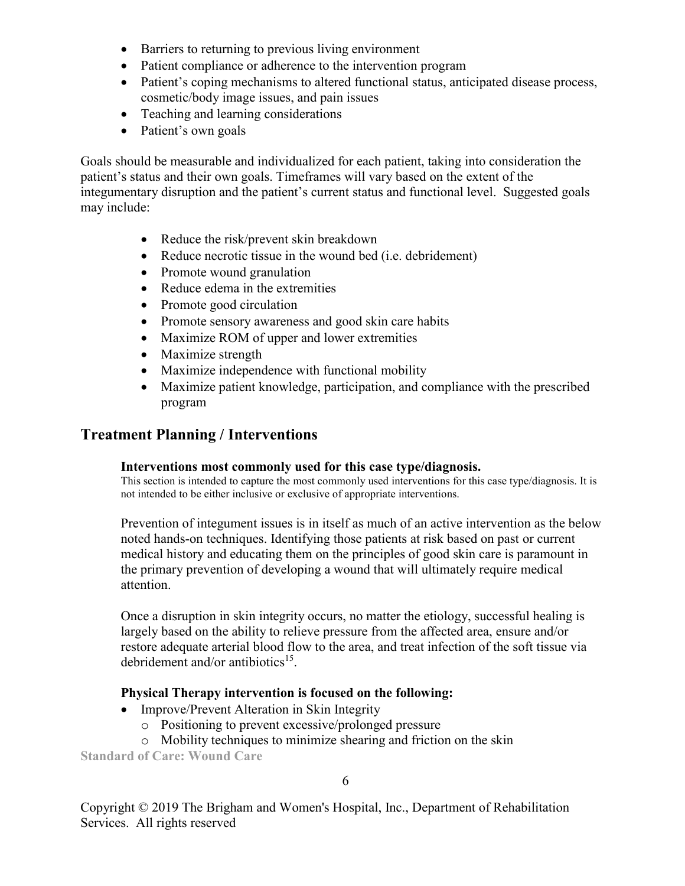- Barriers to returning to previous living environment
- Patient compliance or adherence to the intervention program
- Patient's coping mechanisms to altered functional status, anticipated disease process, cosmetic/body image issues, and pain issues
- Teaching and learning considerations
- Patient's own goals

Goals should be measurable and individualized for each patient, taking into consideration the patient's status and their own goals. Timeframes will vary based on the extent of the integumentary disruption and the patient's current status and functional level. Suggested goals may include:

- Reduce the risk/prevent skin breakdown
- Reduce necrotic tissue in the wound bed (i.e. debridement)
- Promote wound granulation
- Reduce edema in the extremities
- Promote good circulation
- Promote sensory awareness and good skin care habits
- Maximize ROM of upper and lower extremities
- Maximize strength
- Maximize independence with functional mobility
- Maximize patient knowledge, participation, and compliance with the prescribed program

## **Treatment Planning / Interventions**

### **Interventions most commonly used for this case type/diagnosis.**

This section is intended to capture the most commonly used interventions for this case type/diagnosis. It is not intended to be either inclusive or exclusive of appropriate interventions.

Prevention of integument issues is in itself as much of an active intervention as the below noted hands-on techniques. Identifying those patients at risk based on past or current medical history and educating them on the principles of good skin care is paramount in the primary prevention of developing a wound that will ultimately require medical attention.

Once a disruption in skin integrity occurs, no matter the etiology, successful healing is largely based on the ability to relieve pressure from the affected area, ensure and/or restore adequate arterial blood flow to the area, and treat infection of the soft tissue via debridement and/or antibiotics<sup>15</sup>.

### **Physical Therapy intervention is focused on the following:**

- Improve/Prevent Alteration in Skin Integrity
	- o Positioning to prevent excessive/prolonged pressure
	- o Mobility techniques to minimize shearing and friction on the skin

**Standard of Care: Wound Care** 

6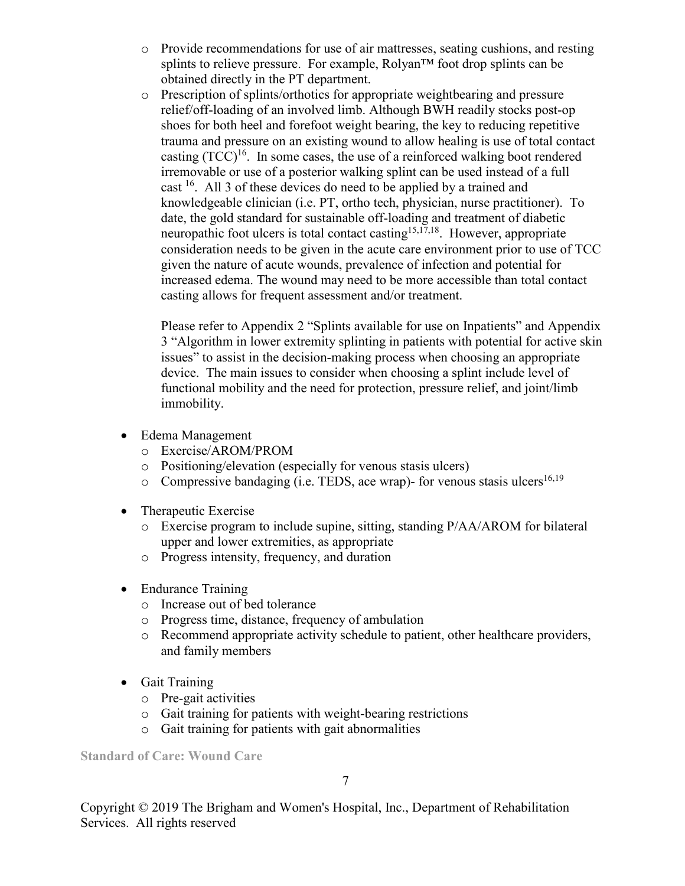- o Provide recommendations for use of air mattresses, seating cushions, and resting splints to relieve pressure. For example, Rolyan<sup>™</sup> foot drop splints can be obtained directly in the PT department.
- o Prescription of splints/orthotics for appropriate weightbearing and pressure relief/off-loading of an involved limb. Although BWH readily stocks post-op shoes for both heel and forefoot weight bearing, the key to reducing repetitive trauma and pressure on an existing wound to allow healing is use of total contact casting  $(TCC)^{16}$ . In some cases, the use of a reinforced walking boot rendered irremovable or use of a posterior walking splint can be used instead of a full cast <sup>16</sup>. All 3 of these devices do need to be applied by a trained and knowledgeable clinician (i.e. PT, ortho tech, physician, nurse practitioner). To date, the gold standard for sustainable off-loading and treatment of diabetic neuropathic foot ulcers is total contact casting<sup>15,17,18</sup>. However, appropriate consideration needs to be given in the acute care environment prior to use of TCC given the nature of acute wounds, prevalence of infection and potential for increased edema. The wound may need to be more accessible than total contact casting allows for frequent assessment and/or treatment.

Please refer to Appendix 2 "Splints available for use on Inpatients" and Appendix 3 "Algorithm in lower extremity splinting in patients with potential for active skin issues" to assist in the decision-making process when choosing an appropriate device. The main issues to consider when choosing a splint include level of functional mobility and the need for protection, pressure relief, and joint/limb immobility.

- Edema Management
	- o Exercise/AROM/PROM
	- o Positioning/elevation (especially for venous stasis ulcers)
	- o Compressive bandaging (i.e. TEDS, ace wrap)- for venous stasis ulcers<sup>16,19</sup>
- Therapeutic Exercise
	- o Exercise program to include supine, sitting, standing P/AA/AROM for bilateral upper and lower extremities, as appropriate
	- o Progress intensity, frequency, and duration
- Endurance Training
	- o Increase out of bed tolerance
	- o Progress time, distance, frequency of ambulation
	- o Recommend appropriate activity schedule to patient, other healthcare providers, and family members
- Gait Training
	- o Pre-gait activities
	- o Gait training for patients with weight-bearing restrictions
	- o Gait training for patients with gait abnormalities

**Standard of Care: Wound Care** 

7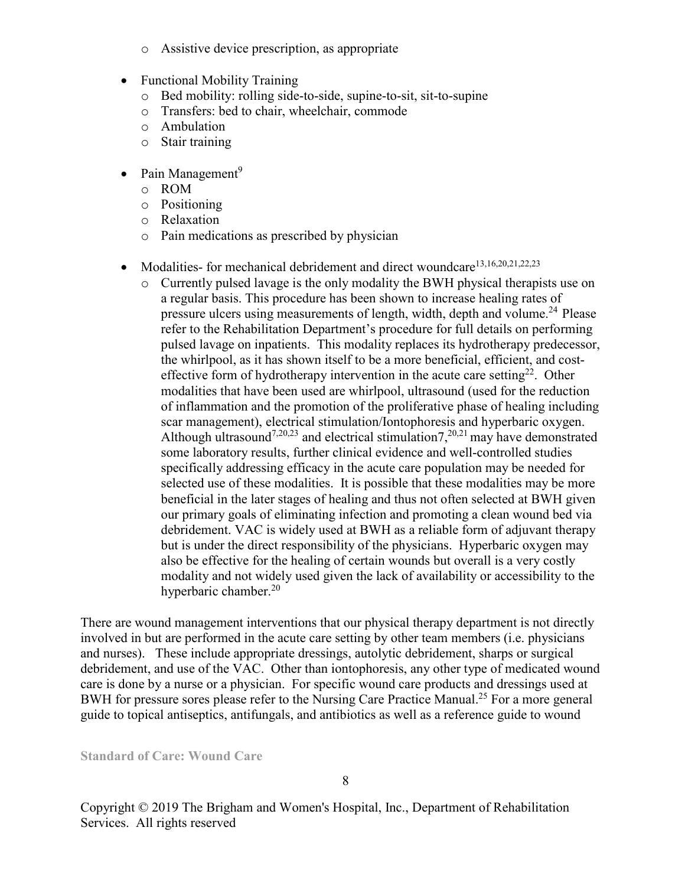- o Assistive device prescription, as appropriate
- Functional Mobility Training
	- o Bed mobility: rolling side-to-side, supine-to-sit, sit-to-supine
	- o Transfers: bed to chair, wheelchair, commode
	- o Ambulation
	- o Stair training
- Pain Management<sup>9</sup>
	- o ROM
	- o Positioning
	- o Relaxation
	- o Pain medications as prescribed by physician
- Modalities- for mechanical debridement and direct woundcare<sup>13,16,20,21,22,23</sup>
	- o Currently pulsed lavage is the only modality the BWH physical therapists use on a regular basis. This procedure has been shown to increase healing rates of pressure ulcers using measurements of length, width, depth and volume.<sup>24</sup> Please refer to the Rehabilitation Department's procedure for full details on performing pulsed lavage on inpatients. This modality replaces its hydrotherapy predecessor, the whirlpool, as it has shown itself to be a more beneficial, efficient, and costeffective form of hydrotherapy intervention in the acute care setting<sup>22</sup>. Other modalities that have been used are whirlpool, ultrasound (used for the reduction of inflammation and the promotion of the proliferative phase of healing including scar management), electrical stimulation/Iontophoresis and hyperbaric oxygen. Although ultrasound<sup>7,20,23</sup> and electrical stimulation<sup>7</sup>,<sup>20,21</sup> may have demonstrated some laboratory results, further clinical evidence and well-controlled studies specifically addressing efficacy in the acute care population may be needed for selected use of these modalities. It is possible that these modalities may be more beneficial in the later stages of healing and thus not often selected at BWH given our primary goals of eliminating infection and promoting a clean wound bed via debridement. VAC is widely used at BWH as a reliable form of adjuvant therapy but is under the direct responsibility of the physicians. Hyperbaric oxygen may also be effective for the healing of certain wounds but overall is a very costly modality and not widely used given the lack of availability or accessibility to the hyperbaric chamber.<sup>20</sup>

There are wound management interventions that our physical therapy department is not directly involved in but are performed in the acute care setting by other team members (i.e. physicians and nurses). These include appropriate dressings, autolytic debridement, sharps or surgical debridement, and use of the VAC. Other than iontophoresis, any other type of medicated wound care is done by a nurse or a physician. For specific wound care products and dressings used at BWH for pressure sores please refer to the Nursing Care Practice Manual.<sup>25</sup> For a more general guide to topical antiseptics, antifungals, and antibiotics as well as a reference guide to wound

**Standard of Care: Wound Care**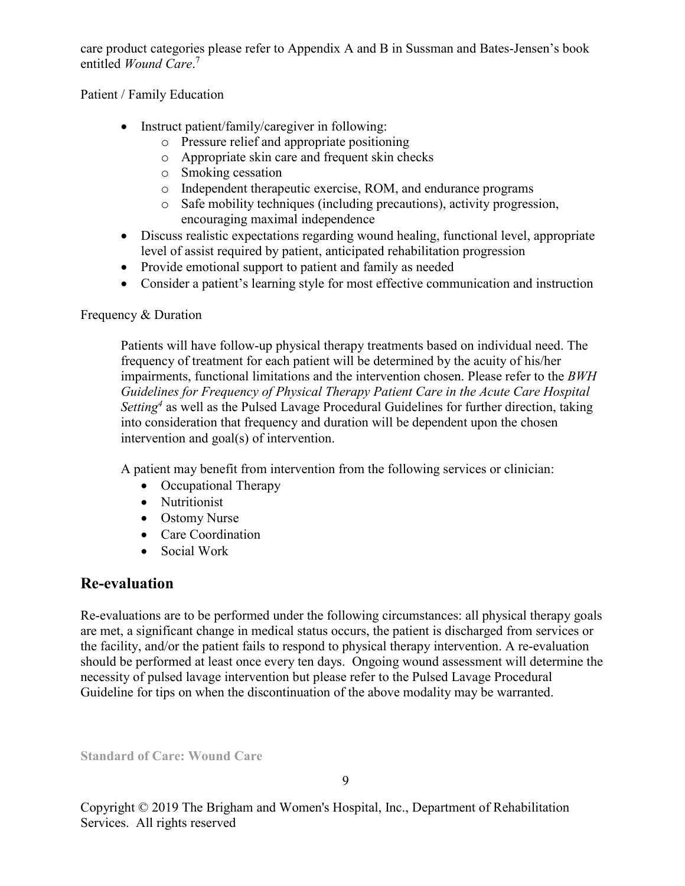care product categories please refer to Appendix A and B in Sussman and Bates-Jensen's book entitled *Wound Care*. 7

Patient / Family Education

- Instruct patient/family/caregiver in following:
	- o Pressure relief and appropriate positioning
	- o Appropriate skin care and frequent skin checks
	- o Smoking cessation
	- o Independent therapeutic exercise, ROM, and endurance programs
	- o Safe mobility techniques (including precautions), activity progression, encouraging maximal independence
- Discuss realistic expectations regarding wound healing, functional level, appropriate level of assist required by patient, anticipated rehabilitation progression
- Provide emotional support to patient and family as needed
- Consider a patient's learning style for most effective communication and instruction

### Frequency & Duration

Patients will have follow-up physical therapy treatments based on individual need. The frequency of treatment for each patient will be determined by the acuity of his/her impairments, functional limitations and the intervention chosen. Please refer to the *BWH Guidelines for Frequency of Physical Therapy Patient Care in the Acute Care Hospital Setting<sup>4</sup>* as well as the Pulsed Lavage Procedural Guidelines for further direction, taking into consideration that frequency and duration will be dependent upon the chosen intervention and goal(s) of intervention.

A patient may benefit from intervention from the following services or clinician:

- Occupational Therapy
- Nutritionist
- Ostomy Nurse
- Care Coordination
- Social Work

## **Re-evaluation**

Re-evaluations are to be performed under the following circumstances: all physical therapy goals are met, a significant change in medical status occurs, the patient is discharged from services or the facility, and/or the patient fails to respond to physical therapy intervention. A re-evaluation should be performed at least once every ten days. Ongoing wound assessment will determine the necessity of pulsed lavage intervention but please refer to the Pulsed Lavage Procedural Guideline for tips on when the discontinuation of the above modality may be warranted.

**Standard of Care: Wound Care**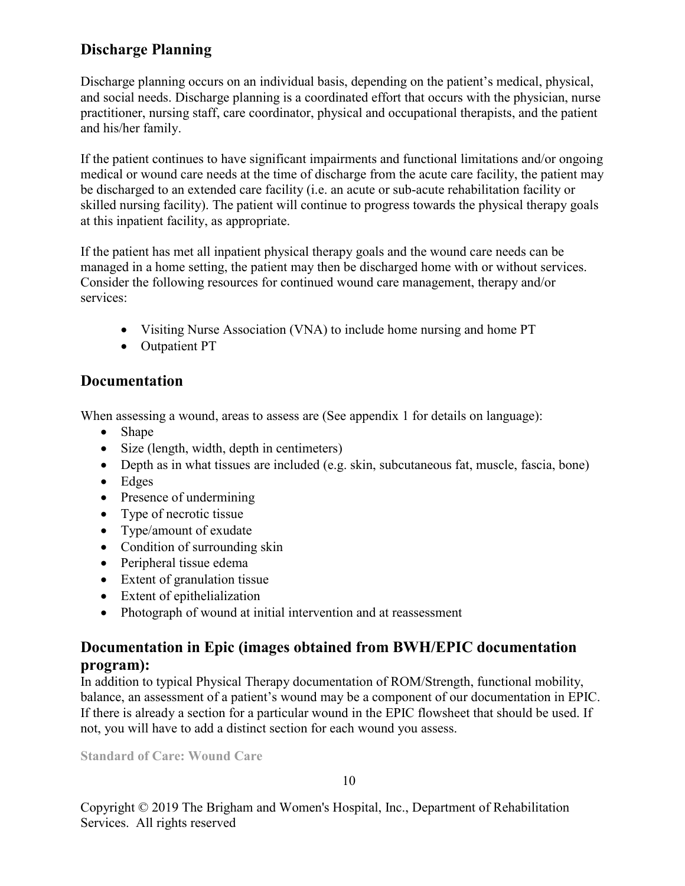# **Discharge Planning**

Discharge planning occurs on an individual basis, depending on the patient's medical, physical, and social needs. Discharge planning is a coordinated effort that occurs with the physician, nurse practitioner, nursing staff, care coordinator, physical and occupational therapists, and the patient and his/her family.

If the patient continues to have significant impairments and functional limitations and/or ongoing medical or wound care needs at the time of discharge from the acute care facility, the patient may be discharged to an extended care facility (i.e. an acute or sub-acute rehabilitation facility or skilled nursing facility). The patient will continue to progress towards the physical therapy goals at this inpatient facility, as appropriate.

If the patient has met all inpatient physical therapy goals and the wound care needs can be managed in a home setting, the patient may then be discharged home with or without services. Consider the following resources for continued wound care management, therapy and/or services:

- Visiting Nurse Association (VNA) to include home nursing and home PT
- Outpatient PT

# **Documentation**

When assessing a wound, areas to assess are (See appendix 1 for details on language):

- Shape
- Size (length, width, depth in centimeters)
- Depth as in what tissues are included (e.g. skin, subcutaneous fat, muscle, fascia, bone)
- Edges
- Presence of undermining
- Type of necrotic tissue
- Type/amount of exudate
- Condition of surrounding skin
- Peripheral tissue edema
- Extent of granulation tissue
- Extent of epithelialization
- Photograph of wound at initial intervention and at reassessment

## **Documentation in Epic (images obtained from BWH/EPIC documentation program):**

In addition to typical Physical Therapy documentation of ROM/Strength, functional mobility, balance, an assessment of a patient's wound may be a component of our documentation in EPIC. If there is already a section for a particular wound in the EPIC flowsheet that should be used. If not, you will have to add a distinct section for each wound you assess.

**Standard of Care: Wound Care**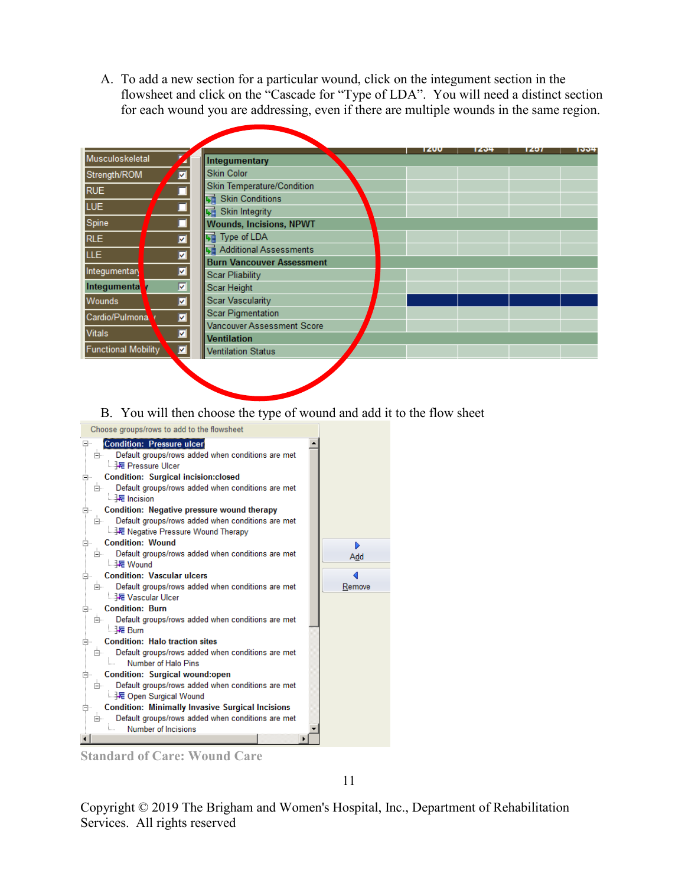A. To add a new section for a particular wound, click on the integument section in the flowsheet and click on the "Cascade for "Type of LDA". You will need a distinct section for each wound you are addressing, even if there are multiple wounds in the same region.

|                                                       |                                                     | 1200 | 1204 | 1491 | 1004 |
|-------------------------------------------------------|-----------------------------------------------------|------|------|------|------|
| Musculoskeletal                                       | Integumentary                                       |      |      |      |      |
| Strength/ROM                                          | $\overline{\blacksquare}$<br><b>Skin Color</b>      |      |      |      |      |
| <b>RUE</b>                                            | Skin Temperature/Condition                          |      |      |      |      |
|                                                       | । Skin Conditions                                   |      |      |      |      |
| $\overline{\blacksquare}$<br>LUE.                     | Will Skin Integrity                                 |      |      |      |      |
| $\overline{\square}$<br>Spine                         | <b>Wounds, Incisions, NPWT</b>                      |      |      |      |      |
| <b>RLE</b>                                            | ø<br><b>国</b> Type of LDA                           |      |      |      |      |
| <b>LLE</b>                                            | <b>L</b> e Additional Assessments<br>ø              |      |      |      |      |
|                                                       | <b>Burn Vancouver Assessment</b>                    |      |      |      |      |
| Integumentary                                         | Ø<br>Scar Pliability                                |      |      |      |      |
| Integumenta                                           | $\overline{\blacksquare}$<br>Scar Height            |      |      |      |      |
| <b>Wounds</b>                                         | ø<br><b>Scar Vascularity</b>                        |      |      |      |      |
| Cardio/Pulmona                                        | <b>Scar Pigmentation</b><br>$\overline{\mathbf{z}}$ |      |      |      |      |
|                                                       | Vancouver Assessment Score                          |      |      |      |      |
| <b>Vitals</b>                                         | $\overline{\mathbf{z}}$<br><b>Ventilation</b>       |      |      |      |      |
| $\overline{\mathbf{z}}$<br><b>Functional Mobility</b> | <b>Ventilation Status</b>                           |      |      |      |      |

B. You will then choose the type of wound and add it to the flow sheet



**Standard of Care: Wound Care** 

11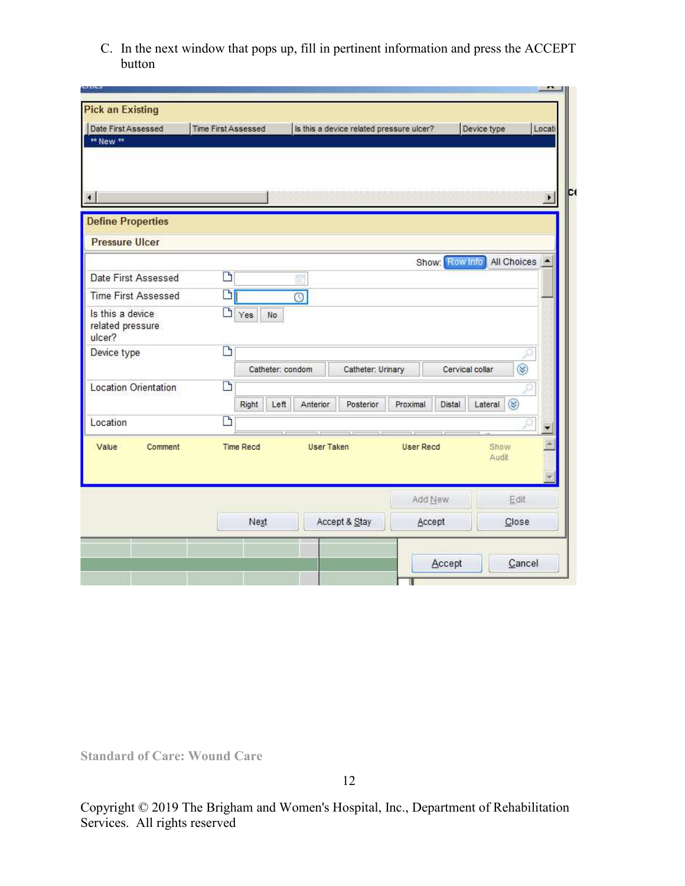C. In the next window that pops up, fill in pertinent information and press the ACCEPT button

| ** New **                                         |    |                  |                    |                   |                           |                                  |   |
|---------------------------------------------------|----|------------------|--------------------|-------------------|---------------------------|----------------------------------|---|
| $\left  \cdot \right $                            |    |                  |                    |                   |                           |                                  | × |
| <b>Define Properties</b><br><b>Pressure Ulcer</b> |    |                  |                    |                   |                           |                                  |   |
|                                                   |    |                  |                    |                   | Show: Row Info            | All Choices                      |   |
| Date First Assessed                               | D  |                  | 闻                  |                   |                           |                                  |   |
| <b>Time First Assessed</b>                        | Di |                  | $\overline{\circ}$ |                   |                           |                                  |   |
| Is this a device<br>related pressure<br>ulcer?    | D  | Yes<br>No        |                    |                   |                           |                                  |   |
| Device type                                       | B  |                  |                    |                   |                           |                                  |   |
|                                                   |    | Catheter: condom |                    | Catheter: Urinary |                           | $\circledast$<br>Cervical collar |   |
| Location Orientation                              | D  | Left<br>Right    | Anterior           | <b>Posterior</b>  | <b>Distal</b><br>Proximal | Lateral $\otimes$                |   |
| Location                                          | D  |                  |                    |                   |                           |                                  |   |
| Value<br>Comment                                  |    | <b>Time Recd</b> | <b>User Taken</b>  |                   | <b>User Recd</b>          | Show<br>Audit                    |   |
|                                                   |    |                  |                    |                   | Add New                   | Edit                             |   |
|                                                   |    | Next             |                    | Accept & Stay     | Accept                    | Close                            |   |

**Standard of Care: Wound Care**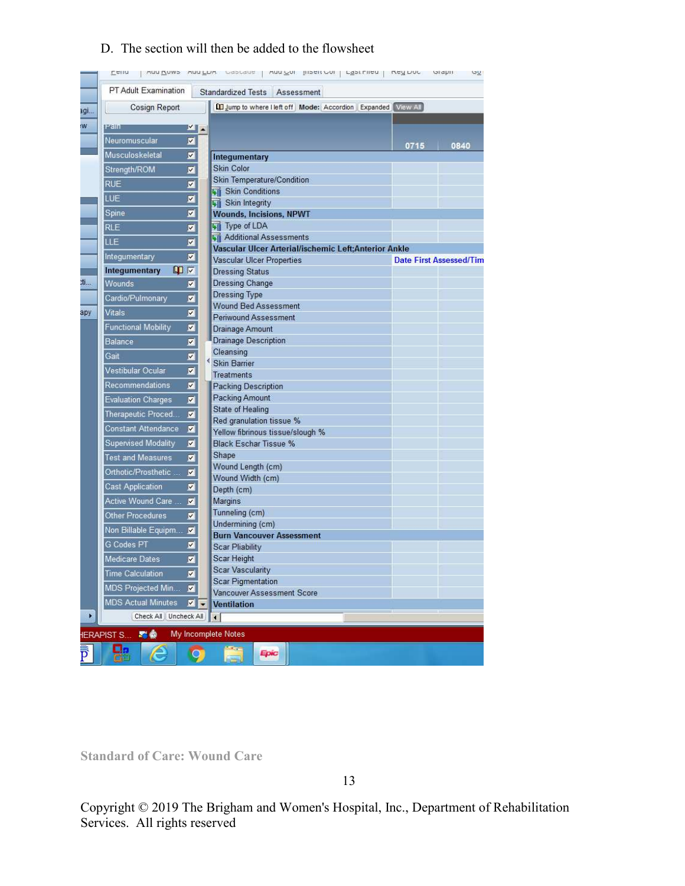### D. The section will then be added to the flowsheet

|                         |                            |                 |                          | Eain Juan Zawe wan Fnu espeak   wan An Bratten   Fostulan   usil num ordhi |      | Ωù.                            |
|-------------------------|----------------------------|-----------------|--------------------------|----------------------------------------------------------------------------|------|--------------------------------|
|                         | PT Adult Examination       |                 |                          | Standardized Tests Assessment                                              |      |                                |
| agi                     | Cosign Report              |                 |                          | [1] Jump to where lieft off Mode: Accordion Expanded View All              |      |                                |
| W                       | Pain                       | VI <sup>_</sup> |                          |                                                                            |      |                                |
|                         | Neuromuscular              | ☑               |                          |                                                                            |      |                                |
|                         | Musculoskeletal            | ☑               |                          |                                                                            | 0715 | 0840                           |
|                         |                            |                 |                          | Integumentary<br><b>Skin Color</b>                                         |      |                                |
|                         | Strength/ROM               | Ø               |                          | Skin Temperature/Condition                                                 |      |                                |
|                         | <b>RUE</b>                 | ☑               |                          | <b>WE</b> Skin Conditions                                                  |      |                                |
|                         | LUE                        | ☑               |                          | <b>WE</b> Skin Integrity                                                   |      |                                |
|                         | Spine                      | 図               |                          | <b>Wounds, Incisions, NPWT</b>                                             |      |                                |
|                         | <b>RLE</b>                 | ☑               |                          | <b>Will Type of LDA</b>                                                    |      |                                |
|                         | LLE                        | ⊠               |                          | Additional Assessments                                                     |      |                                |
|                         |                            | ⊠               |                          | Vascular Ulcer Arterial/ischemic Left;Anterior Ankle                       |      |                                |
|                         | Integumentary              |                 |                          | Vascular Ulcer Properties                                                  |      | <b>Date First Assessed/Tim</b> |
|                         | Integumentary              | 00 区            |                          | <b>Dressing Status</b>                                                     |      |                                |
| 21.                     | Wounds                     | ⊠               |                          | <b>Dressing Change</b>                                                     |      |                                |
|                         | Cardio/Pulmonary           | 図               |                          | Dressing Type<br><b>Wound Bed Assessment</b>                               |      |                                |
| ару                     | Vitals                     | ø               |                          | <b>Periwound Assessment</b>                                                |      |                                |
|                         | <b>Functional Mobility</b> | Ø               |                          | Drainage Amount                                                            |      |                                |
|                         | <b>Balance</b>             | ⊠               |                          | <b>Drainage Description</b>                                                |      |                                |
|                         | Gait                       | ø               |                          | Cleansing                                                                  |      |                                |
|                         |                            |                 |                          | <b>Skin Barrier</b>                                                        |      |                                |
|                         | <b>Vestibular Ocular</b>   | ◪               |                          | <b>Treatments</b>                                                          |      |                                |
|                         | Recommendations            | ☑               |                          | <b>Packing Description</b>                                                 |      |                                |
|                         | <b>Evaluation Charges</b>  | Ø               |                          | Packing Amount                                                             |      |                                |
|                         | Therapeutic Proced         | 図               |                          | State of Healing                                                           |      |                                |
|                         | <b>Constant Attendance</b> | 図               |                          | Red granulation tissue %<br>Yellow fibrinous tissue/slough %               |      |                                |
|                         | <b>Supervised Modality</b> | 図               |                          | <b>Black Eschar Tissue %</b>                                               |      |                                |
|                         | <b>Test and Measures</b>   | ◪               |                          | Shape                                                                      |      |                                |
|                         |                            |                 |                          | Wound Length (cm)                                                          |      |                                |
|                         | Orthotic/Prosthetic        | 図               |                          | Wound Width (cm)                                                           |      |                                |
|                         | <b>Cast Application</b>    | ⊠               |                          | Depth (cm)                                                                 |      |                                |
|                         | Active Wound Care          | ⊠               |                          | Margins                                                                    |      |                                |
|                         | <b>Other Procedures</b>    | 図               |                          | Tunneling (cm)                                                             |      |                                |
|                         | Non Billable Equipm        |                 |                          | Undermining (cm)                                                           |      |                                |
|                         | <b>G Codes PT</b>          | ⊠               |                          | <b>Burn Vancouver Assessment</b><br><b>Scar Pliability</b>                 |      |                                |
|                         | <b>Medicare Dates</b>      | Ø               |                          | Scar Height                                                                |      |                                |
|                         |                            |                 |                          | Scar Vascularity                                                           |      |                                |
|                         | <b>Time Calculation</b>    | ⊠               |                          | <b>Scar Pigmentation</b>                                                   |      |                                |
|                         | MDS Projected Min          | 図               |                          | <b>Vancouver Assessment Score</b>                                          |      |                                |
|                         | <b>MDS Actual Minutes</b>  | ⊠               | $\overline{\phantom{a}}$ | <b>Ventilation</b>                                                         |      |                                |
| Þ                       | Check All   Uncheck All    |                 |                          | $\blacktriangleleft$                                                       |      |                                |
|                         | <b>IERAPIST S.</b><br>早命   |                 |                          | My Incomplete Notes                                                        |      |                                |
| $\overline{\mathbf{p}}$ | 8<br>Æ                     |                 |                          | Epic                                                                       |      |                                |

**Standard of Care: Wound Care**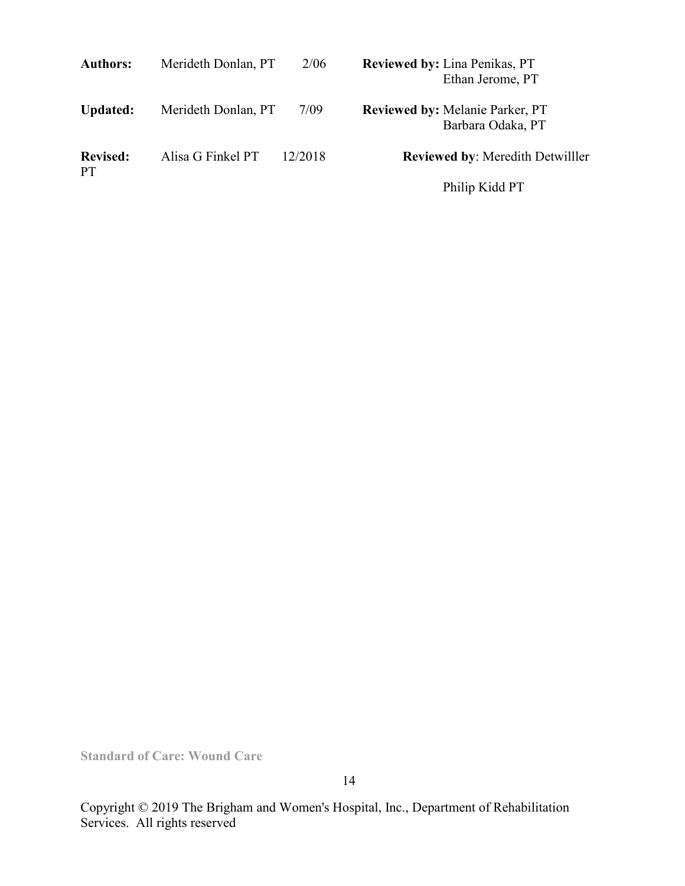| <b>Authors:</b>              | Merideth Donlan, PT | 2/06    | <b>Reviewed by: Lina Penikas, PT</b><br>Ethan Jerome, PT    |
|------------------------------|---------------------|---------|-------------------------------------------------------------|
| <b>Updated:</b>              | Merideth Donlan, PT | 7/09    | <b>Reviewed by: Melanie Parker, PT</b><br>Barbara Odaka, PT |
| <b>Revised:</b><br><b>PT</b> | Alisa G Finkel PT   | 12/2018 | <b>Reviewed by: Meredith Detwilller</b>                     |
|                              |                     |         | Philip Kidd PT                                              |

**Standard of Care: Wound Care**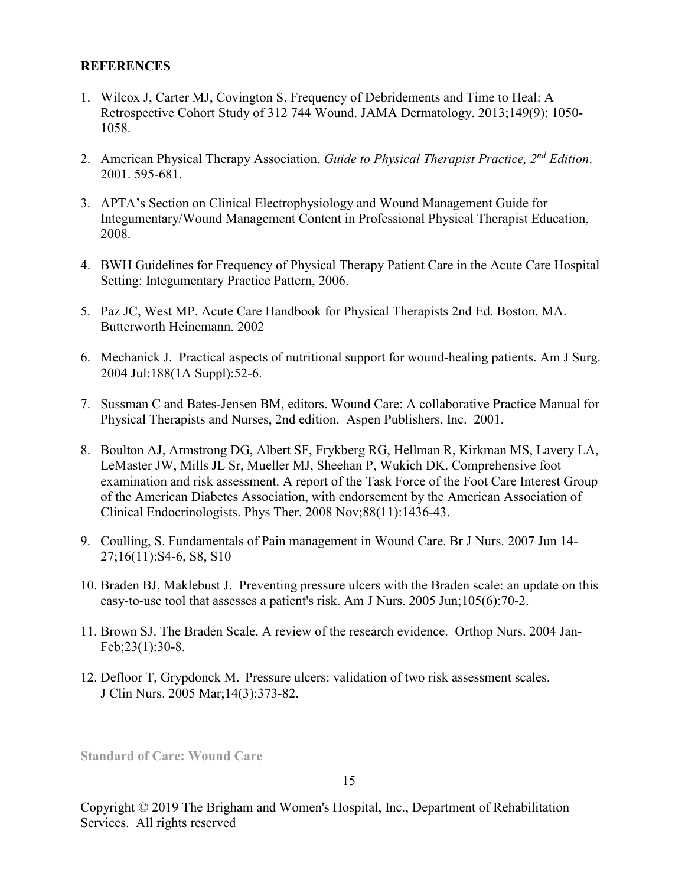#### **REFERENCES**

- 1. Wilcox J, Carter MJ, Covington S. Frequency of Debridements and Time to Heal: A Retrospective Cohort Study of 312 744 Wound. JAMA Dermatology. 2013;149(9): 1050- 1058.
- 2. American Physical Therapy Association. *Guide to Physical Therapist Practice, 2nd Edition*. 2001. 595-681.
- 3. APTA's Section on Clinical Electrophysiology and Wound Management Guide for Integumentary/Wound Management Content in Professional Physical Therapist Education, 2008.
- 4. BWH Guidelines for Frequency of Physical Therapy Patient Care in the Acute Care Hospital Setting: Integumentary Practice Pattern, 2006.
- 5. Paz JC, West MP. Acute Care Handbook for Physical Therapists 2nd Ed. Boston, MA. Butterworth Heinemann. 2002
- 6. Mechanick J. Practical aspects of nutritional support for wound-healing patients. Am J Surg. 2004 Jul;188(1A Suppl):52-6.
- 7. Sussman C and Bates-Jensen BM, editors. Wound Care: A collaborative Practice Manual for Physical Therapists and Nurses, 2nd edition. Aspen Publishers, Inc. 2001.
- 8. Boulton AJ, Armstrong DG, Albert SF, Frykberg RG, Hellman R, Kirkman MS, Lavery LA, LeMaster JW, Mills JL Sr, Mueller MJ, Sheehan P, Wukich DK. [Comprehensive foot](http://www.ncbi.nlm.nih.gov/pubmed/19137633?ordinalpos=2&itool=EntrezSystem2.PEntrez.Pubmed.Pubmed_ResultsPanel.Pubmed_DefaultReportPanel.Pubmed_RVDocSum)  [examination and risk assessment. A report of the Task Force of the Foot Care Interest Group](http://www.ncbi.nlm.nih.gov/pubmed/19137633?ordinalpos=2&itool=EntrezSystem2.PEntrez.Pubmed.Pubmed_ResultsPanel.Pubmed_DefaultReportPanel.Pubmed_RVDocSum)  [of the American Diabetes Association, with endorsement by the American Association of](http://www.ncbi.nlm.nih.gov/pubmed/19137633?ordinalpos=2&itool=EntrezSystem2.PEntrez.Pubmed.Pubmed_ResultsPanel.Pubmed_DefaultReportPanel.Pubmed_RVDocSum)  [Clinical Endocrinologists.](http://www.ncbi.nlm.nih.gov/pubmed/19137633?ordinalpos=2&itool=EntrezSystem2.PEntrez.Pubmed.Pubmed_ResultsPanel.Pubmed_DefaultReportPanel.Pubmed_RVDocSum) Phys Ther. 2008 Nov;88(11):1436-43.
- 9. Coulling, S. Fundamentals of Pain management in Wound Care. Br J Nurs. 2007 Jun 14- 27;16(11):S4-6, S8, S10
- 10. Braden BJ, Maklebust J. Preventing pressure ulcers with the Braden scale: an update on this easy-to-use tool that assesses a patient's risk. Am J Nurs. 2005 Jun;105(6):70-2.
- 11. Brown SJ. The Braden Scale. A review of the research evidence. Orthop Nurs. 2004 Jan-Feb;23(1):30-8.
- 12. Defloor T, Grypdonck M. Pressure ulcers: validation of two risk assessment scales. J Clin Nurs. 2005 Mar;14(3):373-82.

**Standard of Care: Wound Care**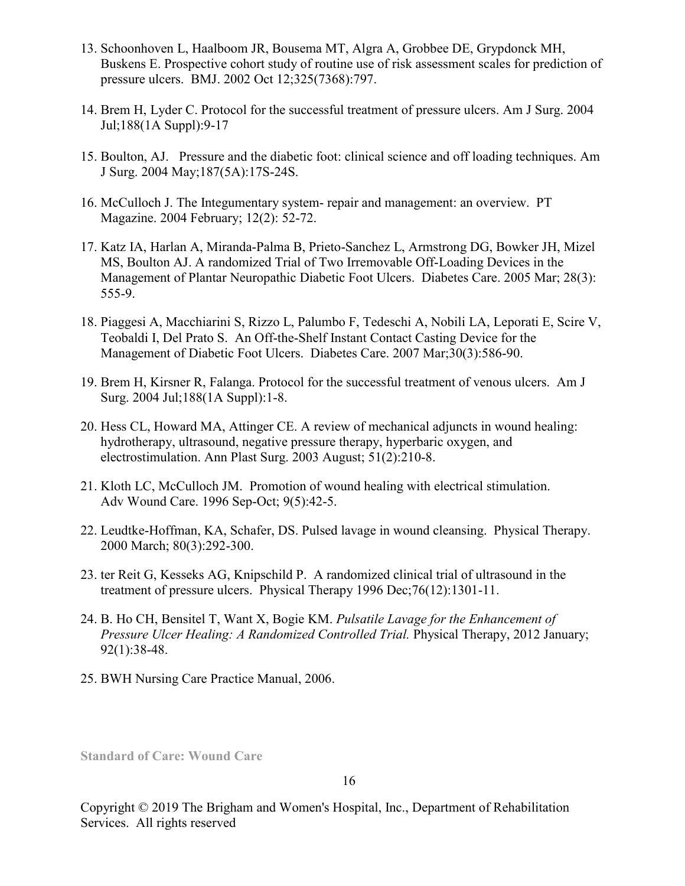- 13. Schoonhoven L, Haalboom JR, Bousema MT, Algra A, Grobbee DE, Grypdonck MH, Buskens E. Prospective cohort study of routine use of risk assessment scales for prediction of pressure ulcers. BMJ. 2002 Oct 12;325(7368):797.
- 14. Brem H, Lyder C. Protocol for the successful treatment of pressure ulcers. Am J Surg. 2004 Jul;188(1A Suppl):9-17
- 15. Boulton, AJ. Pressure and the diabetic foot: clinical science and off loading techniques. Am J Surg. 2004 May;187(5A):17S-24S.
- 16. McCulloch J. The Integumentary system- repair and management: an overview. PT Magazine. 2004 February; 12(2): 52-72.
- 17. [Kat](http://www.ncbi.nlm.nih.gov/sites/entrez?Db=pubmed&Cmd=Search&Term=%22Mizel%20MS%22%5BAuthor%5D&itool=EntrezSystem2.PEntrez.Pubmed.Pubmed_ResultsPanel.Pubmed_DiscoveryPanel.Pubmed_RVAbstractPlus)[z IA,](http://www.ncbi.nlm.nih.gov/sites/entrez?Db=pubmed&Cmd=Search&Term=%22Katz%20IA%22%5BAuthor%5D&itool=EntrezSystem2.PEntrez.Pubmed.Pubmed_ResultsPanel.Pubmed_DiscoveryPanel.Pubmed_RVAbstractPlus) [Harlan A,](http://www.ncbi.nlm.nih.gov/sites/entrez?Db=pubmed&Cmd=Search&Term=%22Harlan%20A%22%5BAuthor%5D&itool=EntrezSystem2.PEntrez.Pubmed.Pubmed_ResultsPanel.Pubmed_DiscoveryPanel.Pubmed_RVAbstractPlus) [Miranda-Palma B](http://www.ncbi.nlm.nih.gov/sites/entrez?Db=pubmed&Cmd=Search&Term=%22Miranda-Palma%20B%22%5BAuthor%5D&itool=EntrezSystem2.PEntrez.Pubmed.Pubmed_ResultsPanel.Pubmed_DiscoveryPanel.Pubmed_RVAbstractPlus), [Prieto-Sanchez L,](http://www.ncbi.nlm.nih.gov/sites/entrez?Db=pubmed&Cmd=Search&Term=%22Prieto-Sanchez%20L%22%5BAuthor%5D&itool=EntrezSystem2.PEntrez.Pubmed.Pubmed_ResultsPanel.Pubmed_DiscoveryPanel.Pubmed_RVAbstractPlus) [Armstrong DG,](http://www.ncbi.nlm.nih.gov/sites/entrez?Db=pubmed&Cmd=Search&Term=%22Armstrong%20DG%22%5BAuthor%5D&itool=EntrezSystem2.PEntrez.Pubmed.Pubmed_ResultsPanel.Pubmed_DiscoveryPanel.Pubmed_RVAbstractPlus) [Bowker JH](http://www.ncbi.nlm.nih.gov/sites/entrez?Db=pubmed&Cmd=Search&Term=%22Bowker%20JH%22%5BAuthor%5D&itool=EntrezSystem2.PEntrez.Pubmed.Pubmed_ResultsPanel.Pubmed_DiscoveryPanel.Pubmed_RVAbstractPlus), [Mizel](http://www.ncbi.nlm.nih.gov/sites/entrez?Db=pubmed&Cmd=Search&Term=%22Mizel%20MS%22%5BAuthor%5D&itool=EntrezSystem2.PEntrez.Pubmed.Pubmed_ResultsPanel.Pubmed_DiscoveryPanel.Pubmed_RVAbstractPlus) MS, [Boulton AJ](http://www.ncbi.nlm.nih.gov/sites/entrez?Db=pubmed&Cmd=Search&Term=%22Boulton%20AJ%22%5BAuthor%5D&itool=EntrezSystem2.PEntrez.Pubmed.Pubmed_ResultsPanel.Pubmed_DiscoveryPanel.Pubmed_RVAbstractPlus). A randomized Trial of Two Irremovable Off-Loading Devices in the Management of Plantar Neuropathic Diabetic Foot Ulcers. Diabetes Care. 2005 Mar; 28(3): 555-9.
- 18. [Piaggesi A,](http://www.ncbi.nlm.nih.gov/sites/entrez?Db=pubmed&Cmd=Search&Term=%22Piaggesi%20A%22%5BAuthor%5D&itool=EntrezSystem2.PEntrez.Pubmed.Pubmed_ResultsPanel.Pubmed_DiscoveryPanel.Pubmed_RVAbstractPlus) [Macchiarini S](http://www.ncbi.nlm.nih.gov/sites/entrez?Db=pubmed&Cmd=Search&Term=%22Macchiarini%20S%22%5BAuthor%5D&itool=EntrezSystem2.PEntrez.Pubmed.Pubmed_ResultsPanel.Pubmed_DiscoveryPanel.Pubmed_RVAbstractPlus), [Rizzo L,](http://www.ncbi.nlm.nih.gov/sites/entrez?Db=pubmed&Cmd=Search&Term=%22Rizzo%20L%22%5BAuthor%5D&itool=EntrezSystem2.PEntrez.Pubmed.Pubmed_ResultsPanel.Pubmed_DiscoveryPanel.Pubmed_RVAbstractPlus) [Palumbo F,](http://www.ncbi.nlm.nih.gov/sites/entrez?Db=pubmed&Cmd=Search&Term=%22Palumbo%20F%22%5BAuthor%5D&itool=EntrezSystem2.PEntrez.Pubmed.Pubmed_ResultsPanel.Pubmed_DiscoveryPanel.Pubmed_RVAbstractPlus) [Tedeschi A,](http://www.ncbi.nlm.nih.gov/sites/entrez?Db=pubmed&Cmd=Search&Term=%22Tedeschi%20A%22%5BAuthor%5D&itool=EntrezSystem2.PEntrez.Pubmed.Pubmed_ResultsPanel.Pubmed_DiscoveryPanel.Pubmed_RVAbstractPlus) [Nobili LA,](http://www.ncbi.nlm.nih.gov/sites/entrez?Db=pubmed&Cmd=Search&Term=%22Nobili%20LA%22%5BAuthor%5D&itool=EntrezSystem2.PEntrez.Pubmed.Pubmed_ResultsPanel.Pubmed_DiscoveryPanel.Pubmed_RVAbstractPlus) [Leporati E](http://www.ncbi.nlm.nih.gov/sites/entrez?Db=pubmed&Cmd=Search&Term=%22Leporati%20E%22%5BAuthor%5D&itool=EntrezSystem2.PEntrez.Pubmed.Pubmed_ResultsPanel.Pubmed_DiscoveryPanel.Pubmed_RVAbstractPlus), [Scire V,](http://www.ncbi.nlm.nih.gov/sites/entrez?Db=pubmed&Cmd=Search&Term=%22Scire%20V%22%5BAuthor%5D&itool=EntrezSystem2.PEntrez.Pubmed.Pubmed_ResultsPanel.Pubmed_DiscoveryPanel.Pubmed_RVAbstractPlus) [Teobaldi I,](http://www.ncbi.nlm.nih.gov/sites/entrez?Db=pubmed&Cmd=Search&Term=%22Teobaldi%20I%22%5BAuthor%5D&itool=EntrezSystem2.PEntrez.Pubmed.Pubmed_ResultsPanel.Pubmed_DiscoveryPanel.Pubmed_RVAbstractPlus) [Del Prato S.](http://www.ncbi.nlm.nih.gov/sites/entrez?Db=pubmed&Cmd=Search&Term=%22Del%20Prato%20S%22%5BAuthor%5D&itool=EntrezSystem2.PEntrez.Pubmed.Pubmed_ResultsPanel.Pubmed_DiscoveryPanel.Pubmed_RVAbstractPlus) An Off-the-Shelf Instant Contact Casting Device for the Management of Diabetic Foot Ulcers. Diabetes Care. 2007 Mar;30(3):586-90.
- 19. Brem H, Kirsner R, Falanga. Protocol for the successful treatment of venous ulcers. Am J Surg. 2004 Jul;188(1A Suppl):1-8.
- 20. Hess CL, Howard MA, Attinger CE. A review of mechanical adjuncts in wound healing: hydrotherapy, ultrasound, negative pressure therapy, hyperbaric oxygen, and electrostimulation. Ann Plast Surg. 2003 August; 51(2):210-8.
- 21. Kloth LC, McCulloch JM. Promotion of wound healing with electrical stimulation. Adv Wound Care. 1996 Sep-Oct; 9(5):42-5.
- 22. Leudtke-Hoffman, KA, Schafer, DS. Pulsed lavage in wound cleansing. Physical Therapy. 2000 March; 80(3):292-300.
- 23. ter Reit G, Kesseks AG, Knipschild P. A randomized clinical trial of ultrasound in the treatment of pressure ulcers. Physical Therapy 1996 Dec;76(12):1301-11.
- 24. B. Ho CH, Bensitel T, Want X, Bogie KM. *Pulsatile Lavage for the Enhancement of Pressure Ulcer Healing: A Randomized Controlled Trial.* Physical Therapy, 2012 January; 92(1):38-48.
- 25. BWH Nursing Care Practice Manual, 2006.

**Standard of Care: Wound Care**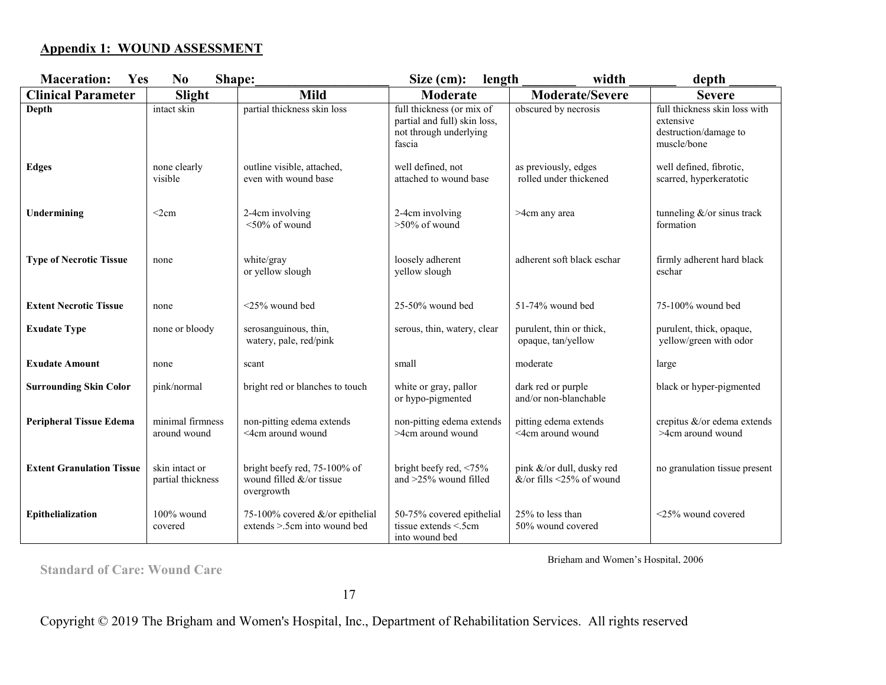#### **Appendix 1: WOUND ASSESSMENT**

| <b>Maceration:</b><br>Yes        | Shape:<br>N <sub>0</sub>            |                                                                        | Size (cm):<br>length                                                                          | width                                                 | depth                                                                              |
|----------------------------------|-------------------------------------|------------------------------------------------------------------------|-----------------------------------------------------------------------------------------------|-------------------------------------------------------|------------------------------------------------------------------------------------|
| <b>Clinical Parameter</b>        | Slight                              | <b>Mild</b>                                                            | Moderate                                                                                      | <b>Moderate/Severe</b>                                | <b>Severe</b>                                                                      |
| Depth                            | intact skin                         | partial thickness skin loss                                            | full thickness (or mix of<br>partial and full) skin loss,<br>not through underlying<br>fascia | obscured by necrosis                                  | full thickness skin loss with<br>extensive<br>destruction/damage to<br>muscle/bone |
| <b>Edges</b>                     | none clearly<br>visible             | outline visible, attached,<br>even with wound base                     | well defined, not<br>attached to wound base                                                   | as previously, edges<br>rolled under thickened        | well defined, fibrotic,<br>scarred, hyperkeratotic                                 |
| Undermining                      | $<$ 2 $cm$                          | 2-4cm involving<br>$<$ 50% of wound                                    | 2-4cm involving<br>$>50\%$ of wound                                                           | >4cm any area                                         | formation                                                                          |
| <b>Type of Necrotic Tissue</b>   | none                                | white/gray<br>or yellow slough                                         | loosely adherent<br>yellow slough                                                             | adherent soft black eschar                            | firmly adherent hard black<br>eschar                                               |
| <b>Extent Necrotic Tissue</b>    | none                                | <25% wound bed                                                         | $25-50\%$ wound bed                                                                           | 51-74% wound bed                                      | 75-100% wound bed                                                                  |
| <b>Exudate Type</b>              | none or bloody                      | serosanguinous, thin,<br>watery, pale, red/pink                        | serous, thin, watery, clear                                                                   | purulent, thin or thick,<br>opaque, tan/yellow        | purulent, thick, opaque,<br>yellow/green with odor                                 |
| <b>Exudate Amount</b>            | none                                | scant                                                                  | small                                                                                         | moderate                                              | large                                                                              |
| <b>Surrounding Skin Color</b>    | pink/normal                         | bright red or blanches to touch                                        | white or gray, pallor<br>or hypo-pigmented                                                    | dark red or purple<br>and/or non-blanchable           | black or hyper-pigmented                                                           |
| <b>Peripheral Tissue Edema</b>   | minimal firmness<br>around wound    | non-pitting edema extends<br><4cm around wound                         | non-pitting edema extends<br>>4cm around wound                                                | pitting edema extends<br><4cm around wound            | crepitus &/or edema extends<br>>4cm around wound                                   |
| <b>Extent Granulation Tissue</b> | skin intact or<br>partial thickness | bright beefy red, 75-100% of<br>wound filled &/or tissue<br>overgrowth | bright beefy red, <75%<br>and >25% wound filled                                               | pink &/or dull, dusky red<br>&/or fills <25% of wound | no granulation tissue present                                                      |
| Epithelialization                | $100\%$ wound<br>covered            | 75-100% covered &/or epithelial<br>extends $> 5$ cm into wound bed     | 50-75% covered epithelial<br>tissue extends <.5cm<br>into wound bed                           | 25% to less than<br>50% wound covered                 | $\leq$ 25% wound covered                                                           |

**Standard of Care: Wound Care** 

Brigham and Women's Hospital, 2006

17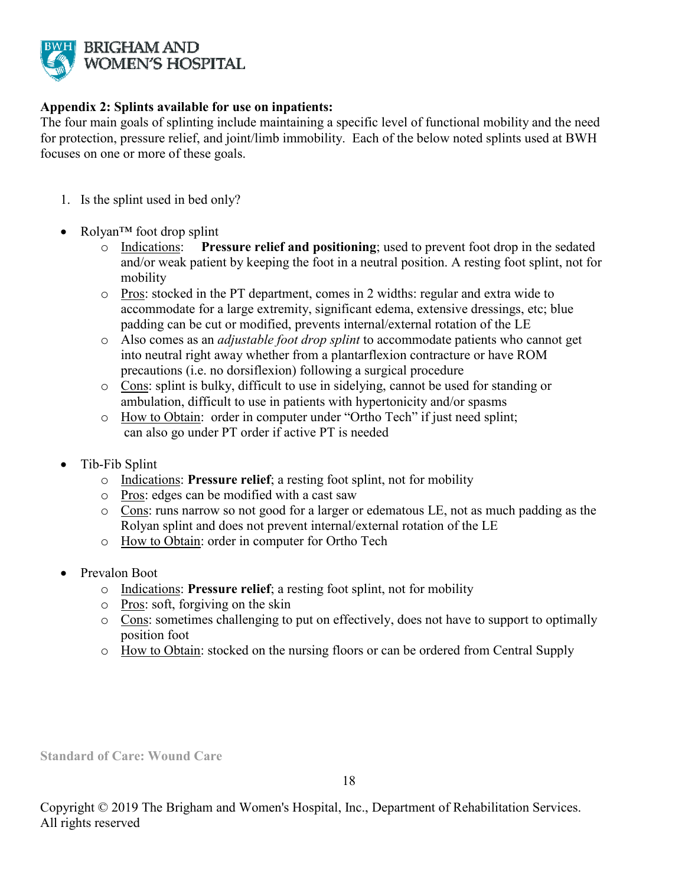

#### **Appendix 2: Splints available for use on inpatients:**

The four main goals of splinting include maintaining a specific level of functional mobility and the need for protection, pressure relief, and joint/limb immobility. Each of the below noted splints used at BWH focuses on one or more of these goals.

- 1. Is the splint used in bed only?
- Rolyan™ foot drop splint
	- o Indications: **Pressure relief and positioning**; used to prevent foot drop in the sedated and/or weak patient by keeping the foot in a neutral position. A resting foot splint, not for mobility
	- o Pros: stocked in the PT department, comes in 2 widths: regular and extra wide to accommodate for a large extremity, significant edema, extensive dressings, etc; blue padding can be cut or modified, prevents internal/external rotation of the LE
	- o Also comes as an *adjustable foot drop splint* to accommodate patients who cannot get into neutral right away whether from a plantarflexion contracture or have ROM precautions (i.e. no dorsiflexion) following a surgical procedure
	- o Cons: splint is bulky, difficult to use in sidelying, cannot be used for standing or ambulation, difficult to use in patients with hypertonicity and/or spasms
	- o How to Obtain: order in computer under "Ortho Tech" if just need splint; can also go under PT order if active PT is needed
- Tib-Fib Splint
	- o Indications: **Pressure relief**; a resting foot splint, not for mobility
	- o Pros: edges can be modified with a cast saw
	- o Cons: runs narrow so not good for a larger or edematous LE, not as much padding as the Rolyan splint and does not prevent internal/external rotation of the LE
	- o How to Obtain: order in computer for Ortho Tech
- Prevalon Boot
	- o Indications: **Pressure relief**; a resting foot splint, not for mobility
	- o Pros: soft, forgiving on the skin
	- o Cons: sometimes challenging to put on effectively, does not have to support to optimally position foot
	- o How to Obtain: stocked on the nursing floors or can be ordered from Central Supply

**Standard of Care: Wound Care**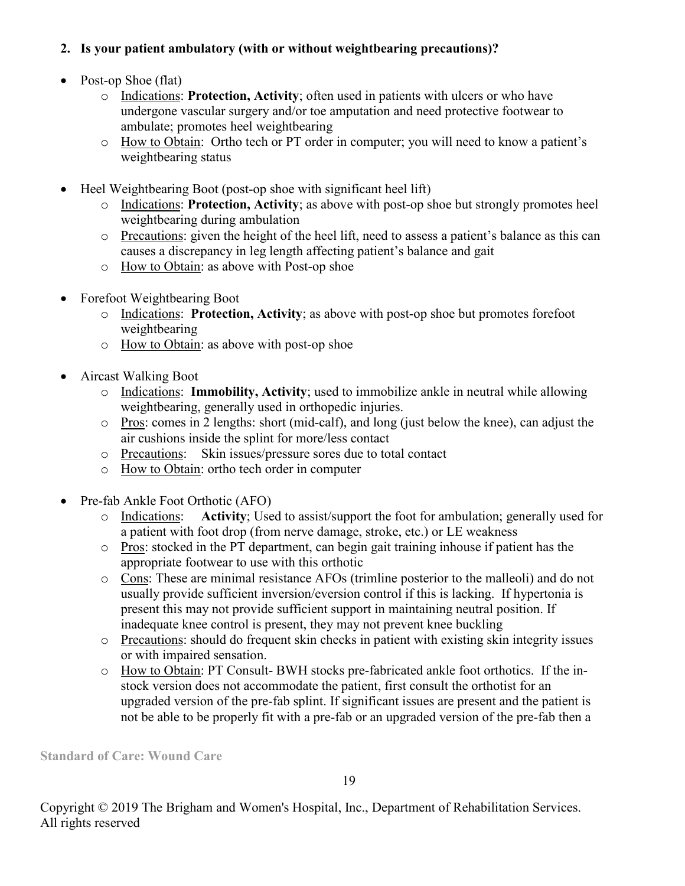### **2. Is your patient ambulatory (with or without weightbearing precautions)?**

- Post-op Shoe (flat)
	- o Indications: **Protection, Activity**; often used in patients with ulcers or who have undergone vascular surgery and/or toe amputation and need protective footwear to ambulate; promotes heel weightbearing
	- o How to Obtain: Ortho tech or PT order in computer; you will need to know a patient's weightbearing status
- Heel Weightbearing Boot (post-op shoe with significant heel lift)
	- o Indications: **Protection, Activity**; as above with post-op shoe but strongly promotes heel weightbearing during ambulation
	- o Precautions: given the height of the heel lift, need to assess a patient's balance as this can causes a discrepancy in leg length affecting patient's balance and gait
	- o How to Obtain: as above with Post-op shoe
- Forefoot Weightbearing Boot
	- o Indications: **Protection, Activity**; as above with post-op shoe but promotes forefoot weightbearing
	- o How to Obtain: as above with post-op shoe
- Aircast Walking Boot
	- o Indications: **Immobility, Activity**; used to immobilize ankle in neutral while allowing weightbearing, generally used in orthopedic injuries.
	- o Pros: comes in 2 lengths: short (mid-calf), and long (just below the knee), can adjust the air cushions inside the splint for more/less contact
	- o Precautions: Skin issues/pressure sores due to total contact
	- o How to Obtain: ortho tech order in computer
- Pre-fab Ankle Foot Orthotic (AFO)
	- o Indications: **Activity**; Used to assist/support the foot for ambulation; generally used for a patient with foot drop (from nerve damage, stroke, etc.) or LE weakness
	- o Pros: stocked in the PT department, can begin gait training inhouse if patient has the appropriate footwear to use with this orthotic
	- o Cons: These are minimal resistance AFOs (trimline posterior to the malleoli) and do not usually provide sufficient inversion/eversion control if this is lacking. If hypertonia is present this may not provide sufficient support in maintaining neutral position. If inadequate knee control is present, they may not prevent knee buckling
	- o Precautions: should do frequent skin checks in patient with existing skin integrity issues or with impaired sensation.
	- o How to Obtain: PT Consult- BWH stocks pre-fabricated ankle foot orthotics. If the instock version does not accommodate the patient, first consult the orthotist for an upgraded version of the pre-fab splint. If significant issues are present and the patient is not be able to be properly fit with a pre-fab or an upgraded version of the pre-fab then a

**Standard of Care: Wound Care**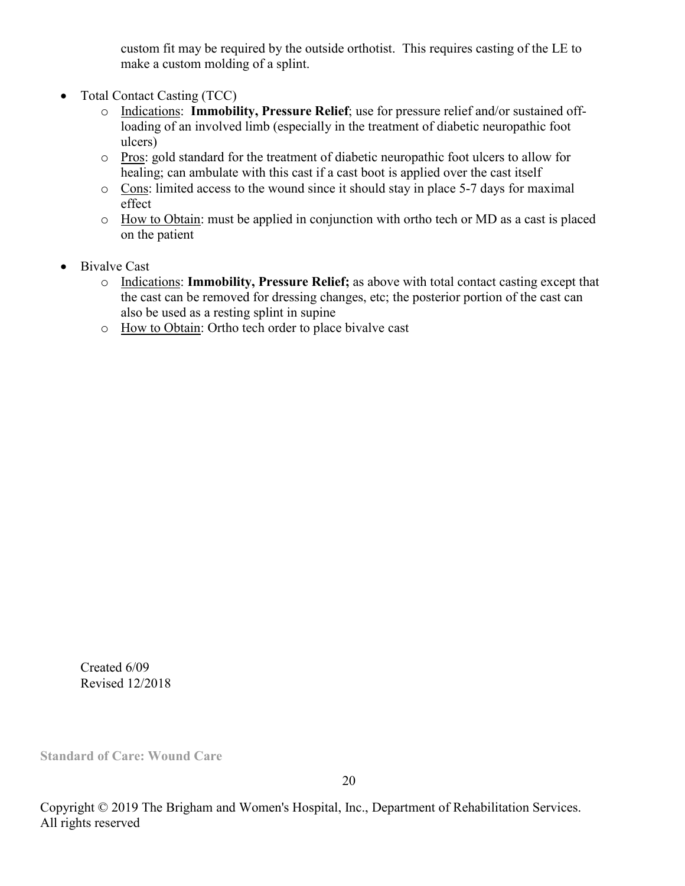custom fit may be required by the outside orthotist. This requires casting of the LE to make a custom molding of a splint.

- Total Contact Casting (TCC)
	- o Indications: **Immobility, Pressure Relief**; use for pressure relief and/or sustained offloading of an involved limb (especially in the treatment of diabetic neuropathic foot ulcers)
	- o Pros: gold standard for the treatment of diabetic neuropathic foot ulcers to allow for healing; can ambulate with this cast if a cast boot is applied over the cast itself
	- o Cons: limited access to the wound since it should stay in place 5-7 days for maximal effect
	- o How to Obtain: must be applied in conjunction with ortho tech or MD as a cast is placed on the patient
- **Bivalve Cast** 
	- o Indications: **Immobility, Pressure Relief;** as above with total contact casting except that the cast can be removed for dressing changes, etc; the posterior portion of the cast can also be used as a resting splint in supine
	- o How to Obtain: Ortho tech order to place bivalve cast

Created 6/09 Revised 12/2018

**Standard of Care: Wound Care**